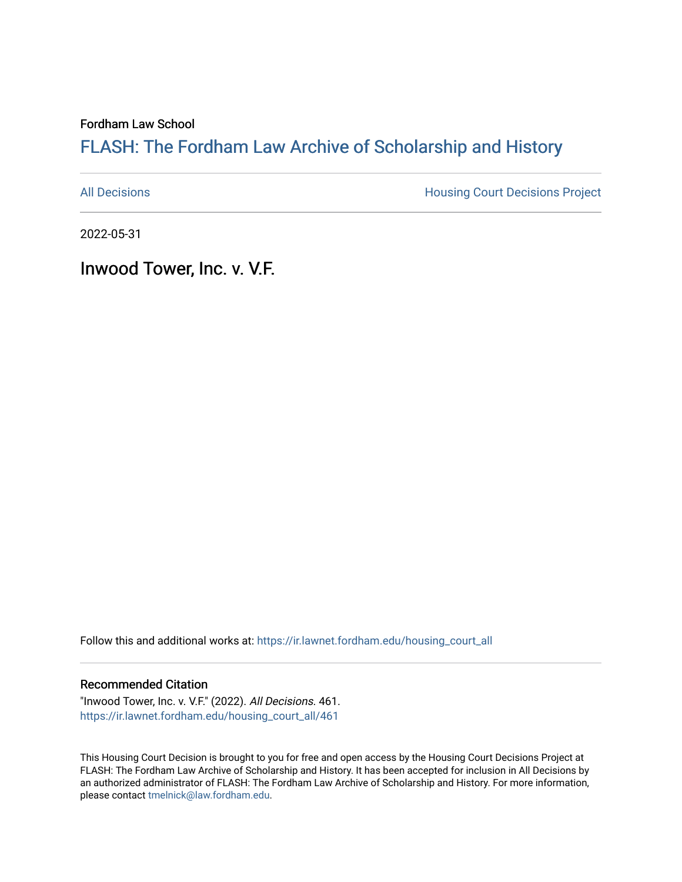Fordham Law School

## FLASH: The For[dham Law Archive of Scholarship and Hist](https://ir.lawnet.fordham.edu/)ory

[All Decisions](https://ir.lawnet.fordham.edu/housing_court_all) **All Decisions All Decisions** Project

2022-05-31

Inwood Tower, Inc. v. V.F.

Follow this and additional works at: [https://ir.lawnet.fordham.edu/housing\\_court\\_all](https://ir.lawnet.fordham.edu/housing_court_all?utm_source=ir.lawnet.fordham.edu%2Fhousing_court_all%2F461&utm_medium=PDF&utm_campaign=PDFCoverPages)

## Recommended Citation

"Inwood Tower, Inc. v. V.F." (2022). All Decisions. 461. [https://ir.lawnet.fordham.edu/housing\\_court\\_all/461](https://ir.lawnet.fordham.edu/housing_court_all/461?utm_source=ir.lawnet.fordham.edu%2Fhousing_court_all%2F461&utm_medium=PDF&utm_campaign=PDFCoverPages)

This Housing Court Decision is brought to you for free and open access by the Housing Court Decisions Project at FLASH: The Fordham Law Archive of Scholarship and History. It has been accepted for inclusion in All Decisions by an authorized administrator of FLASH: The Fordham Law Archive of Scholarship and History. For more information, please contact [tmelnick@law.fordham.edu](mailto:tmelnick@law.fordham.edu).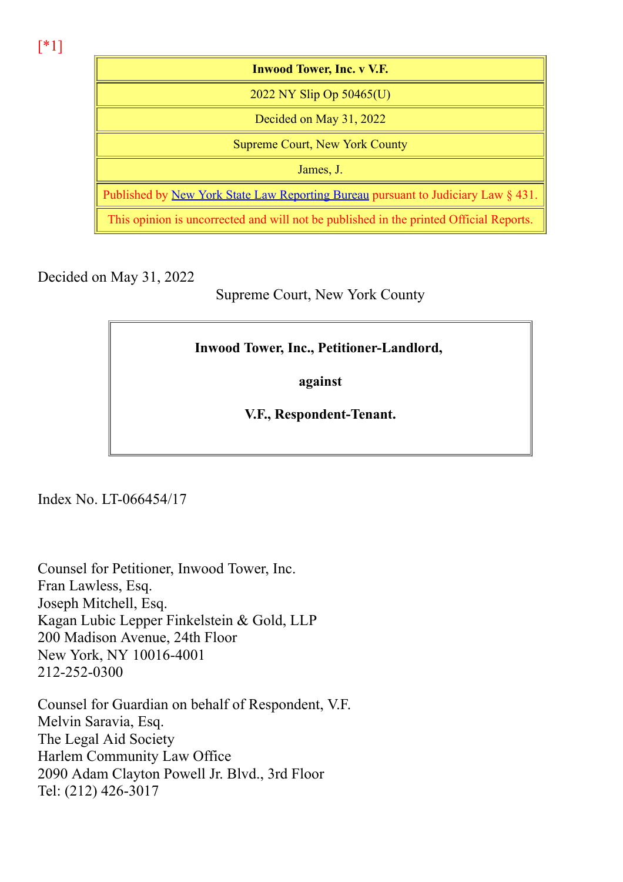[\*1]

| <b>Inwood Tower, Inc. v V.F.</b>                                                         |
|------------------------------------------------------------------------------------------|
| 2022 NY Slip Op $50465(U)$                                                               |
| Decided on May 31, 2022                                                                  |
| <b>Supreme Court, New York County</b>                                                    |
| James, J.                                                                                |
| Published by <u>New York State Law Reporting Bureau</u> pursuant to Judiciary Law § 431. |
| This opinion is uncorrected and will not be published in the printed Official Reports.   |

Decided on May 31, 2022

Supreme Court, New York County

## Inwood Tower, Inc., Petitioner-Landlord,

against

V.F., Respondent-Tenant.

Index No. LT-066454/17

Counsel for Petitioner, Inwood Tower, Inc. Fran Lawless, Esq. Joseph Mitchell, Esq. Kagan Lubic Lepper Finkelstein & Gold, LLP 200 Madison Avenue, 24th Floor New York, NY 10016-4001 212-252-0300

Counsel for Guardian on behalf of Respondent, V.F. Melvin Saravia, Esq. The Legal Aid Society Harlem Community Law Office 2090 Adam Clayton Powell Jr. Blvd., 3rd Floor Tel: (212) 426-3017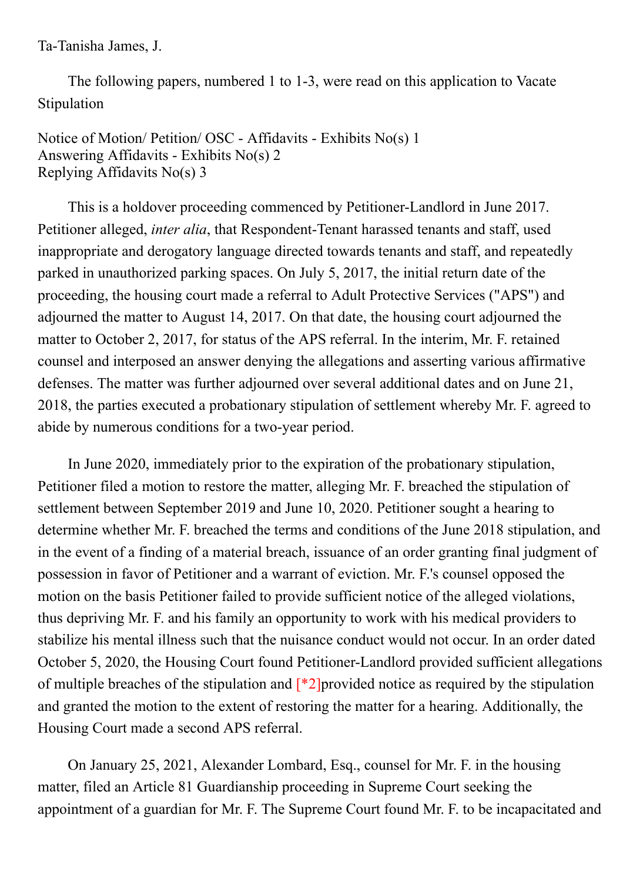Ta-Tanisha James, J.

The following papers, numbered 1 to 1-3, were read on this application to Vacate Stipulation

Notice of Motion/ Petition/ OSC - Affidavits - Exhibits No(s) 1 Answering Affidavits - Exhibits No(s) 2 Replying Affidavits No(s) 3

This is a holdover proceeding commenced by Petitioner-Landlord in June 2017. Petitioner alleged, *inter alia*, that Respondent-Tenant harassed tenants and staff, used inappropriate and derogatory language directed towards tenants and staff, and repeatedly parked in unauthorized parking spaces. On July 5, 2017, the initial return date of the proceeding, the housing court made a referral to Adult Protective Services ("APS") and adjourned the matter to August 14, 2017. On that date, the housing court adjourned the matter to October 2, 2017, for status of the APS referral. In the interim, Mr. F. retained counsel and interposed an answer denying the allegations and asserting various affirmative defenses. The matter was further adjourned over several additional dates and on June 21, 2018, the parties executed a probationary stipulation of settlement whereby Mr. F. agreed to abide by numerous conditions for a two-year period.

In June 2020, immediately prior to the expiration of the probationary stipulation, Petitioner filed a motion to restore the matter, alleging Mr. F. breached the stipulation of settlement between September 2019 and June 10, 2020. Petitioner sought a hearing to determine whether Mr. F. breached the terms and conditions of the June 2018 stipulation, and in the event of a finding of a material breach, issuance of an order granting final judgment of possession in favor of Petitioner and a warrant of eviction. Mr. F.'s counsel opposed the motion on the basis Petitioner failed to provide sufficient notice of the alleged violations, thus depriving Mr. F. and his family an opportunity to work with his medical providers to stabilize his mental illness such that the nuisance conduct would not occur. In an order dated October 5, 2020, the Housing Court found Petitioner-Landlord provided sufficient allegations of multiple breaches of the stipulation and  $[^*2]$ provided notice as required by the stipulation and granted the motion to the extent of restoring the matter for a hearing. Additionally, the Housing Court made a second APS referral.

On January 25, 2021, Alexander Lombard, Esq., counsel for Mr. F. in the housing matter, filed an Article 81 Guardianship proceeding in Supreme Court seeking the appointment of a guardian for Mr. F. The Supreme Court found Mr. F. to be incapacitated and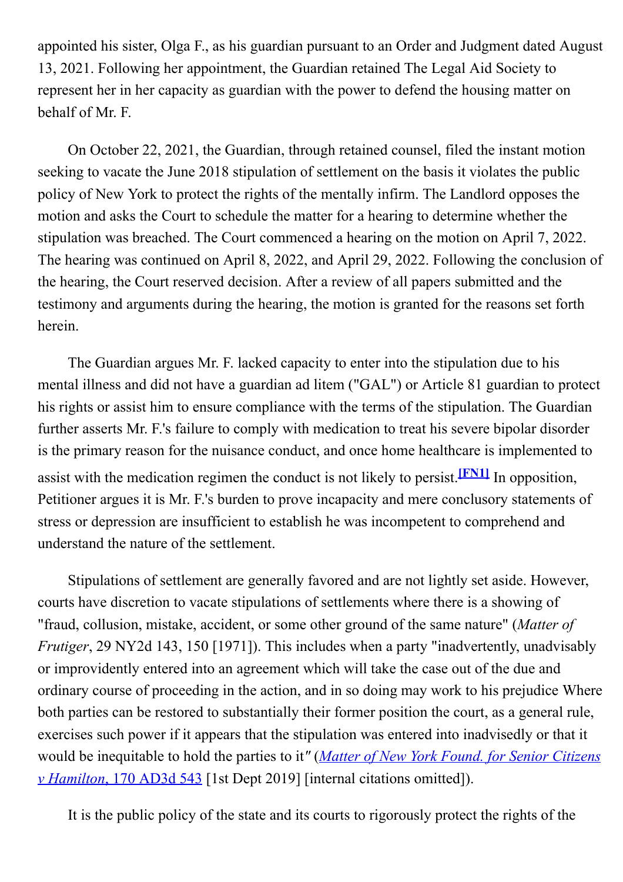appointed his sister, Olga F., as his guardian pursuant to an Order and Judgment dated August 13, 2021. Following her appointment, the Guardian retained The Legal Aid Society to represent her in her capacity as guardian with the power to defend the housing matter on behalf of Mr. F.

On October 22, 2021, the Guardian, through retained counsel, filed the instant motion seeking to vacate the June 2018 stipulation of settlement on the basis it violates the public policy of New York to protect the rights of the mentally infirm. The Landlord opposes the motion and asks the Court to schedule the matter for a hearing to determine whether the stipulation was breached. The Court commenced a hearing on the motion on April 7, 2022. The hearing was continued on April 8, 2022, and April 29, 2022. Following the conclusion of the hearing, the Court reserved decision. After a review of all papers submitted and the testimony and arguments during the hearing, the motion is granted for the reasons set forth herein.

The Guardian argues Mr. F. lacked capacity to enter into the stipulation due to his mental illness and did not have a guardian ad litem ("GAL") or Article 81 guardian to protect his rights or assist him to ensure compliance with the terms of the stipulation. The Guardian further asserts Mr. F.'s failure to comply with medication to treat his severe bipolar disorder is the primary reason for the nuisance conduct, and once home healthcare is implemented to assist with the medication regimen the conduct is not likely to persist.<sup>[FN1]</sup> In opposition, Petitioner argues it is Mr. F.'s burden to prove incapacity and mere conclusory statements of stress or depression are insufficient to establish he was incompetent to comprehend and understand the nature of the settlement.

Stipulations of settlement are generally favored and are not lightly set aside. However, courts have discretion to vacate stipulations of settlements where there is a showing of "fraud, collusion, mistake, accident, or some other ground of the same nature" (Matter of Frutiger, 29 NY2d 143, 150 [1971]). This includes when a party "inadvertently, unadvisably or improvidently entered into an agreement which will take the case out of the due and ordinary course of proceeding in the action, and in so doing may work to his prejudice Where both parties can be restored to substantially their former position the court, as a general rule, exercises such power if it appears that the stipulation was entered into inadvisedly or that it would be inequitable to hold the parties to it" (Matter of New York Found, for Senior Citizens v Hamilton, 170 AD3d 543 [1st Dept 2019] [internal citations omitted]).

It is the public policy of the state and its courts to rigorously protect the rights of the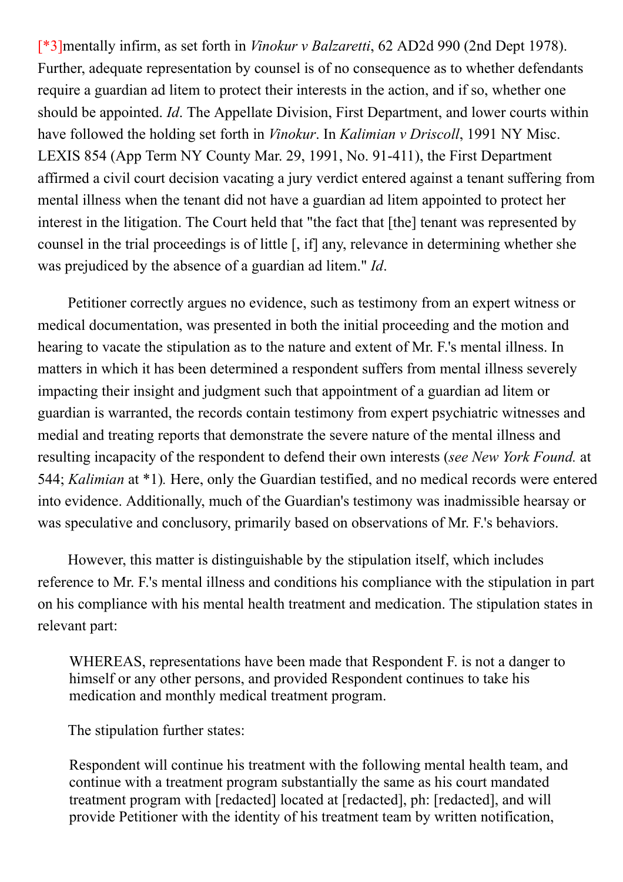[\*3]mentally infirm, as set forth in Vinokur v Balzaretti, 62 AD2d 990 (2nd Dept 1978). Further, adequate representation by counsel is of no consequence as to whether defendants require a guardian ad litem to protect their interests in the action, and if so, whether one should be appointed. Id. The Appellate Division, First Department, and lower courts within have followed the holding set forth in *Vinokur*. In *Kalimian v Driscoll*, 1991 NY Misc. LEXIS 854 (App Term NY County Mar. 29, 1991, No. 91-411), the First Department affirmed a civil court decision vacating a jury verdict entered against a tenant suffering from mental illness when the tenant did not have a guardian ad litem appointed to protect her interest in the litigation. The Court held that "the fact that [the] tenant was represented by counsel in the trial proceedings is of little [, if] any, relevance in determining whether she was prejudiced by the absence of a guardian ad litem." Id.

Petitioner correctly argues no evidence, such as testimony from an expert witness or medical documentation, was presented in both the initial proceeding and the motion and hearing to vacate the stipulation as to the nature and extent of Mr. F.'s mental illness. In matters in which it has been determined a respondent suffers from mental illness severely impacting their insight and judgment such that appointment of a guardian ad litem or guardian is warranted, the records contain testimony from expert psychiatric witnesses and medial and treating reports that demonstrate the severe nature of the mental illness and resulting incapacity of the respondent to defend their own interests (see New York Found. at 544; Kalimian at \*1). Here, only the Guardian testified, and no medical records were entered into evidence. Additionally, much of the Guardian's testimony was inadmissible hearsay or was speculative and conclusory, primarily based on observations of Mr. F.'s behaviors.

However, this matter is distinguishable by the stipulation itself, which includes reference to Mr. F.'s mental illness and conditions his compliance with the stipulation in part on his compliance with his mental health treatment and medication. The stipulation states in relevant part:

WHEREAS, representations have been made that Respondent F. is not a danger to himself or any other persons, and provided Respondent continues to take his medication and monthly medical treatment program.

The stipulation further states:

Respondent will continue his treatment with the following mental health team, and continue with a treatment program substantially the same as his court mandated treatment program with [redacted] located at [redacted], ph: [redacted], and will provide Petitioner with the identity of his treatment team by written notification,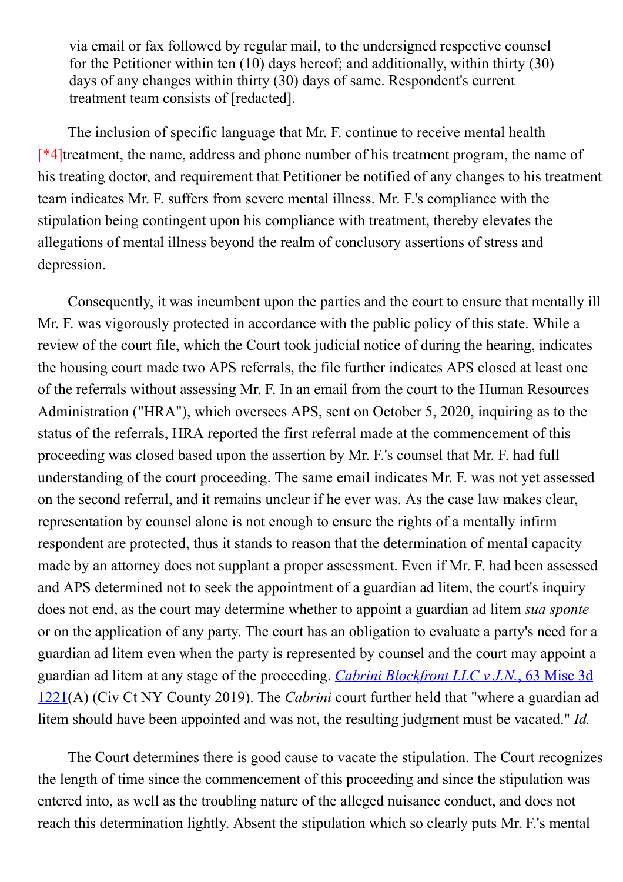via email or fax followed by regular mail, to the undersigned respective counsel for the Petitioner within ten (10) days hereof; and additionally, within thirty (30) days of any changes within thirty (30) days of same. Respondent's current treatment team consists of [redacted].

The inclusion of specific language that Mr. F. continue to receive mental health [\*4]treatment, the name, address and phone number of his treatment program, the name of his treating doctor, and requirement that Petitioner be notified of any changes to his treatment team indicates Mr. F. suffers from severe mental illness. Mr. F.'s compliance with the stipulation being contingent upon his compliance with treatment, thereby elevates the allegations of mental illness beyond the realm of conclusory assertions of stress and depression.

Consequently, it was incumbent upon the parties and the court to ensure that mentally ill Mr. F. was vigorously protected in accordance with the public policy of this state. While a review of the court file, which the Court took judicial notice of during the hearing, indicates the housing court made two APS referrals, the file further indicates APS closed at least one of the referrals without assessing Mr. F. In an email from the court to the Human Resources Administration ("HRA"), which oversees APS, sent on October 5, 2020, inquiring as to the status of the referrals, HRA reported the first referral made at the commencement of this proceeding was closed based upon the assertion by Mr. F.'s counsel that Mr. F. had full understanding of the court proceeding. The same email indicates Mr. F. was not yet assessed on the second referral, and it remains unclear if he ever was. As the case law makes clear, representation by counsel alone is not enough to ensure the rights of a mentally infirm respondent are protected, thus it stands to reason that the determination of mental capacity made by an attorney does not supplant a proper assessment. Even if Mr. F. had been assessed and APS determined not to seek the appointment of a guardian ad litem, the court's inquiry does not end, as the court may determine whether to appoint a guardian ad litem *sua sponte* or on the application of any party. The court has an obligation to evaluate a party's need for a guardian ad litem even when the party is represented by counsel and the court may appoint a guardian ad litem at any stage of the proceeding. Cabrini Blockfront LLC v J.N., 63 Misc 3d 1221(A) (Civ Ct NY County 2019). The Cabrini court further held that "where a guardian ad litem should have been appointed and was not, the resulting judgment must be vacated." Id.

The Court determines there is good cause to vacate the stipulation. The Court recognizes the length of time since the commencement of this proceeding and since the stipulation was entered into, as well as the troubling nature of the alleged nuisance conduct, and does not reach this determination lightly. Absent the stipulation which so clearly puts Mr. F.'s mental